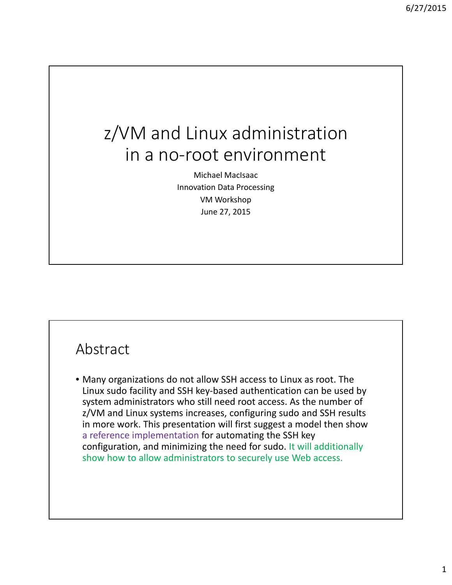## z/VM and Linux administration in a no-root environment

Michael MacIsaac Innovation Data Processing VM Workshop June 27, 2015

#### Abstract

• Many organizations do not allow SSH access to Linux as root. The Linux sudo facility and SSH key-based authentication can be used by system administrators who still need root access. As the number of z/VM and Linux systems increases, configuring sudo and SSH results in more work. This presentation will first suggest a model then show a reference implementation for automating the SSH key configuration, and minimizing the need for sudo. It will additionally show how to allow administrators to securely use Web access.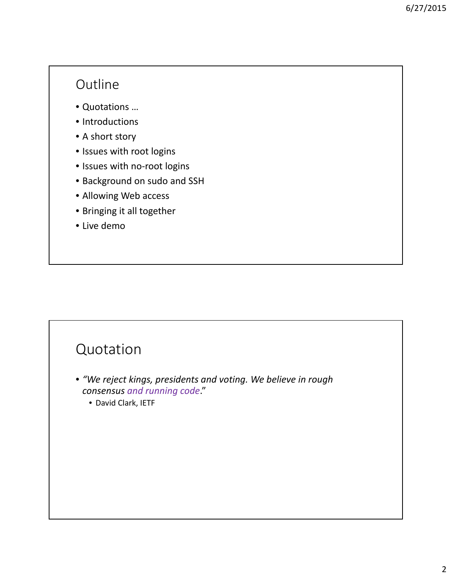#### Outline

- Quotations …
- Introductions
- A short story
- Issues with root logins
- Issues with no-root logins
- Background on sudo and SSH
- Allowing Web access
- Bringing it all together
- Live demo

- *"We reject kings, presidents and voting. We believe in rough consensus and running code*."
	- David Clark, IETF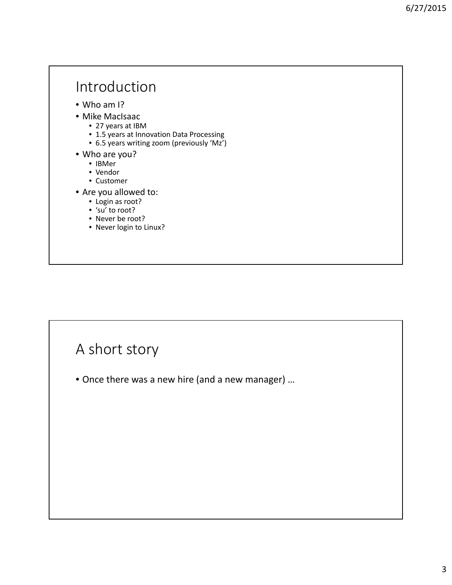#### Introduction

- Who am I?
- Mike MacIsaac
	- 27 years at IBM
	- 1.5 years at Innovation Data Processing
	- 6.5 years writing zoom (previously 'Mz')
- Who are you?
	- IBMer
	- Vendor
	- Customer
- Are you allowed to:
	- Login as root?
	- 'su' to root?
	- Never be root?
	- Never login to Linux?

#### A short story

• Once there was a new hire (and a new manager) …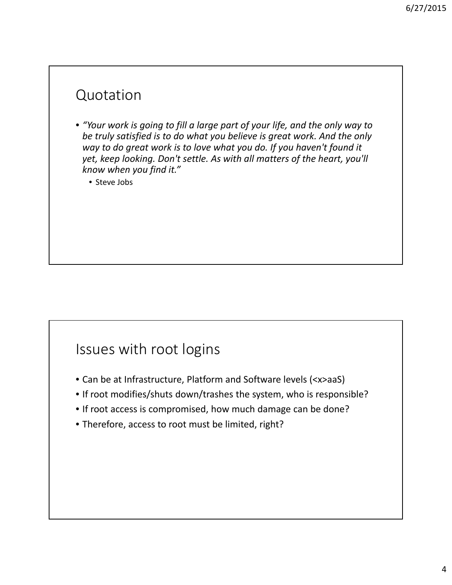#### Quotation

• *"Your work is going to fill a large part of your life, and the only way to be truly satisfied is to do what you believe is great work. And the only way to do great work is to love what you do. If you haven't found it yet, keep looking. Don't settle. As with all matters of the heart, you'll know when you find it."*

• Steve Jobs

#### Issues with root logins

- Can be at Infrastructure, Platform and Software levels (<x>aaS)
- If root modifies/shuts down/trashes the system, who is responsible?
- If root access is compromised, how much damage can be done?
- Therefore, access to root must be limited, right?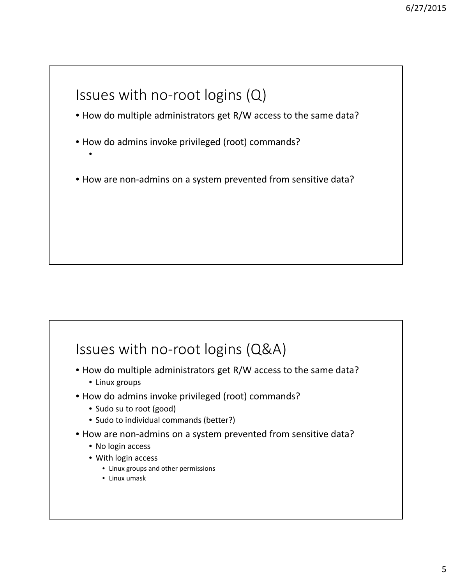#### Issues with no-root logins (Q)

• How do multiple administrators get R/W access to the same data?

- How do admins invoke privileged (root) commands?
- How are non-admins on a system prevented from sensitive data?

#### Issues with no-root logins (Q&A)

- How do multiple administrators get R/W access to the same data?
	- Linux groups

•

- How do admins invoke privileged (root) commands?
	- Sudo su to root (good)
	- Sudo to individual commands (better?)
- How are non-admins on a system prevented from sensitive data?
	- No login access
	- With login access
		- Linux groups and other permissions
		- Linux umask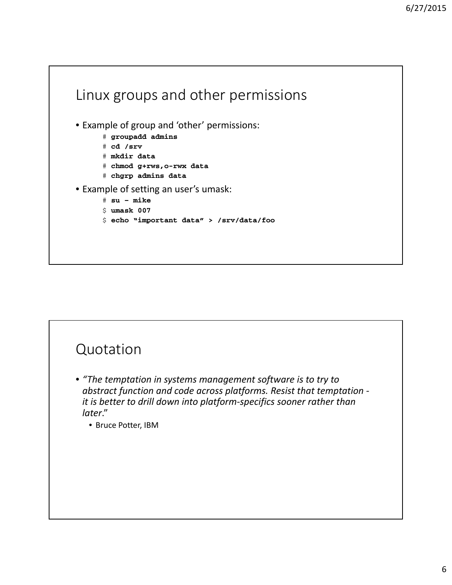

- *"The temptation in systems management software is to try to abstract function and code across platforms. Resist that temptation it is better to drill down into platform-specifics sooner rather than later*."
	- Bruce Potter, IBM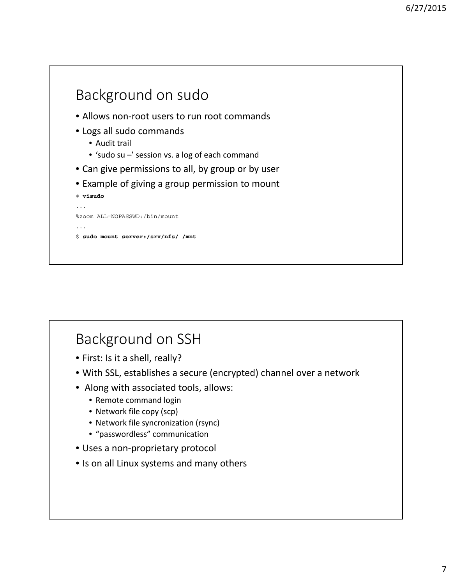

### Background on SSH

- First: Is it a shell, really?
- With SSL, establishes a secure (encrypted) channel over a network
- Along with associated tools, allows:
	- Remote command login
	- Network file copy (scp)
	- Network file syncronization (rsync)
	- "passwordless" communication
- Uses a non-proprietary protocol
- Is on all Linux systems and many others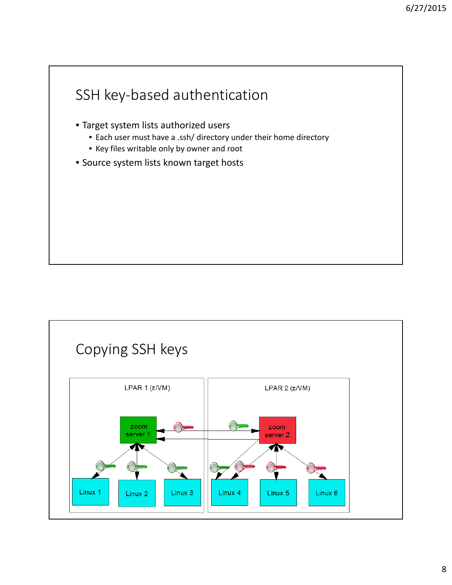

- Target system lists authorized users
	- Each user must have a .ssh/ directory under their home directory
	- Key files writable only by owner and root
- Source system lists known target hosts

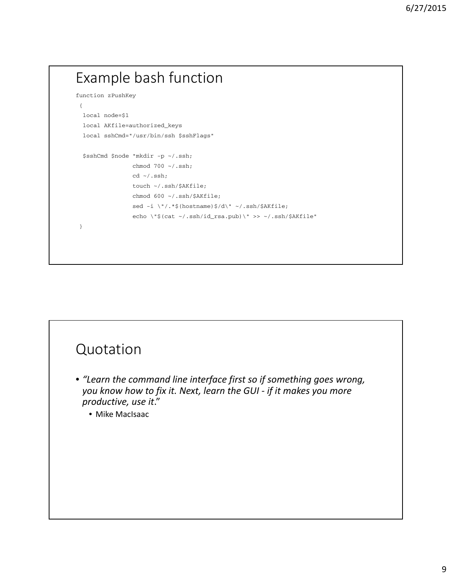# Example bash function

```
function zPushKey
{
 local node=$1
 local AKfile=authorized_keys
 local sshCmd="/usr/bin/ssh $sshFlags"
 $sshCmd $node "mkdir -p ~/.ssh;
                chmod 700 \sim / .ssh;cd ~/.ssh;
                touch ~/.ssh/$AKfile;
                chmod 600 ~/.ssh/$AKfile;
                sed -i \"/.*$(hostname)$/d\" ~/.ssh/$AKfile;
                echo \"$(cat ~/.ssh/id_rsa.pub)\" >> ~/.ssh/$AKfile"
 }
```
- *"Learn the command line interface first so if something goes wrong, you know how to fix it. Next, learn the GUI - if it makes you more productive, use it*."
	- Mike MacIsaac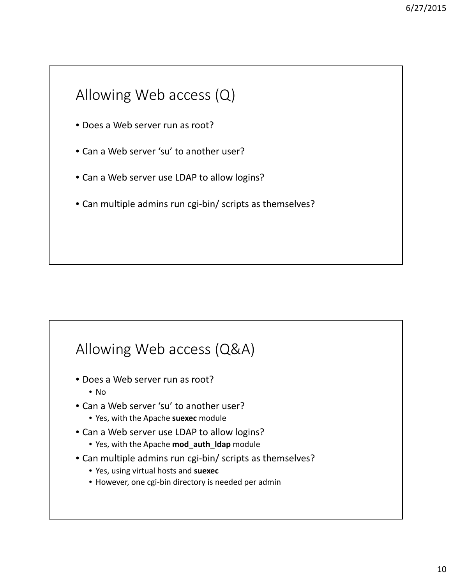#### Allowing Web access (Q)

- Does a Web server run as root?
- Can a Web server 'su' to another user?
- Can a Web server use LDAP to allow logins?
- Can multiple admins run cgi-bin/ scripts as themselves?

#### Allowing Web access (Q&A)

- Does a Web server run as root?
	- No
- Can a Web server 'su' to another user?
	- Yes, with the Apache **suexec** module
- Can a Web server use LDAP to allow logins?
	- Yes, with the Apache **mod\_auth\_ldap** module
- Can multiple admins run cgi-bin/ scripts as themselves?
	- Yes, using virtual hosts and **suexec**
	- However, one cgi-bin directory is needed per admin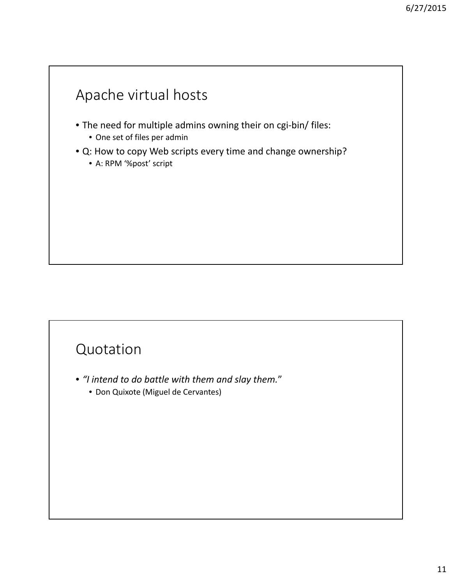#### Apache virtual hosts

- The need for multiple admins owning their on cgi-bin/ files:
	- One set of files per admin
- Q: How to copy Web scripts every time and change ownership?
	- A: RPM '%post' script

- *"I intend to do battle with them and slay them.*"
	- Don Quixote (Miguel de Cervantes)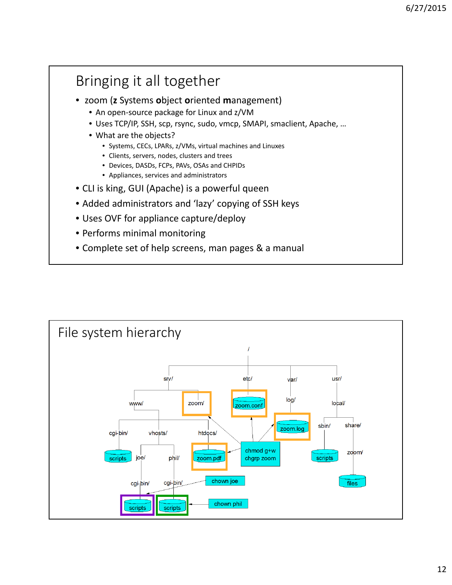#### Bringing it all together • zoom (**z** Systems **o**bject **o**riented **m**anagement) • An open-source package for Linux and z/VM • Uses TCP/IP, SSH, scp, rsync, sudo, vmcp, SMAPI, smaclient, Apache, … • What are the objects? • Systems, CECs, LPARs, z/VMs, virtual machines and Linuxes • Clients, servers, nodes, clusters and trees • Devices, DASDs, FCPs, PAVs, OSAs and CHPIDs • Appliances, services and administrators • CLI is king, GUI (Apache) is a powerful queen • Added administrators and 'lazy' copying of SSH keys • Uses OVF for appliance capture/deploy

- Performs minimal monitoring
- Complete set of help screens, man pages & a manual